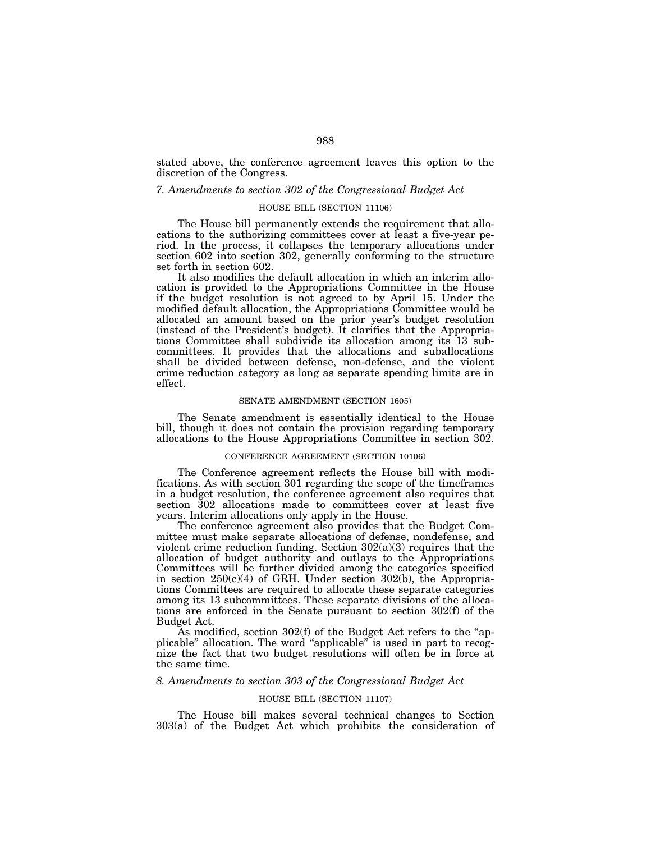stated above, the conference agreement leaves this option to the discretion of the Congress.

## *7. Amendments to section 302 of the Congressional Budget Act*

## HOUSE BILL (SECTION 11106)

The House bill permanently extends the requirement that allocations to the authorizing committees cover at least a five-year period. In the process, it collapses the temporary allocations under section 602 into section 302, generally conforming to the structure set forth in section 602.

It also modifies the default allocation in which an interim allocation is provided to the Appropriations Committee in the House if the budget resolution is not agreed to by April 15. Under the modified default allocation, the Appropriations Committee would be allocated an amount based on the prior year's budget resolution (instead of the President's budget). It clarifies that the Appropriations Committee shall subdivide its allocation among its 13 subcommittees. It provides that the allocations and suballocations shall be divided between defense, non-defense, and the violent crime reduction category as long as separate spending limits are in effect.

### SENATE AMENDMENT (SECTION 1605)

The Senate amendment is essentially identical to the House bill, though it does not contain the provision regarding temporary allocations to the House Appropriations Committee in section 302.

# CONFERENCE AGREEMENT (SECTION 10106)

The Conference agreement reflects the House bill with modifications. As with section 301 regarding the scope of the timeframes in a budget resolution, the conference agreement also requires that section 302 allocations made to committees cover at least five years. Interim allocations only apply in the House.

The conference agreement also provides that the Budget Committee must make separate allocations of defense, nondefense, and violent crime reduction funding. Section 302(a)(3) requires that the allocation of budget authority and outlays to the Appropriations Committees will be further divided among the categories specified in section 250(c)(4) of GRH. Under section 302(b), the Appropriations Committees are required to allocate these separate categories among its 13 subcommittees. These separate divisions of the allocations are enforced in the Senate pursuant to section 302(f) of the Budget Act.

As modified, section 302(f) of the Budget Act refers to the ''applicable" allocation. The word "applicable" is used in part to recognize the fact that two budget resolutions will often be in force at the same time.

## *8. Amendments to section 303 of the Congressional Budget Act*

## HOUSE BILL (SECTION 11107)

The House bill makes several technical changes to Section 303(a) of the Budget Act which prohibits the consideration of